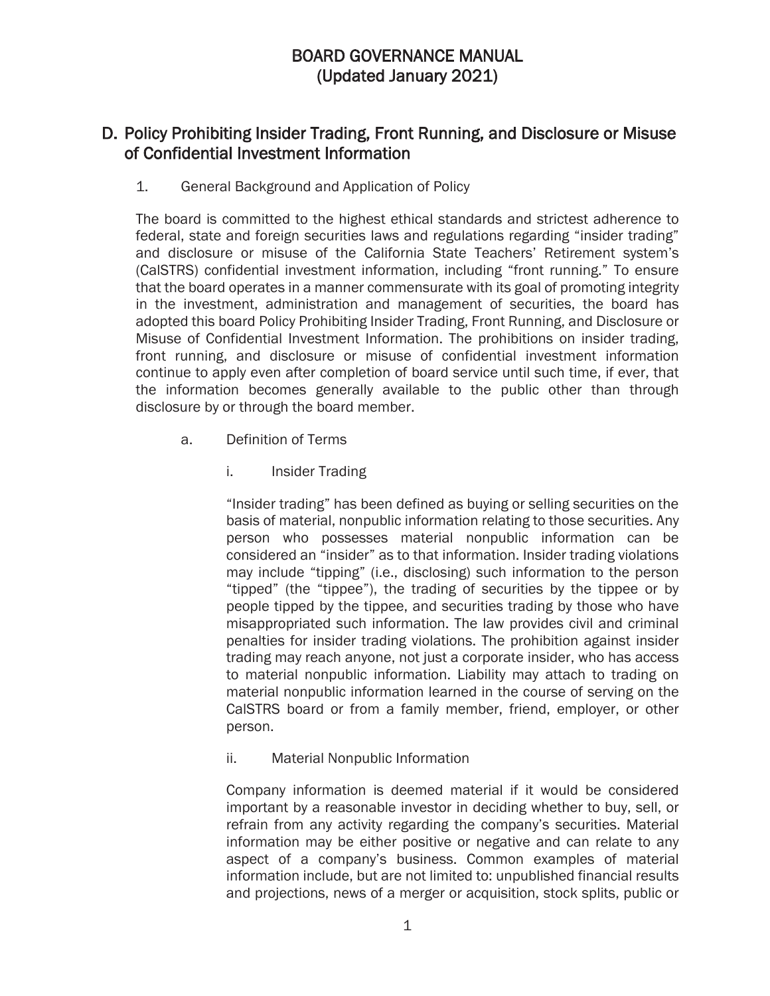# BOARD GOVERNANCE MANUAL (Updated January 2021)

# D. Policy Prohibiting Insider Trading, Front Running, and Disclosure or Misuse of Confidential Investment Information

## 1. General Background and Application of Policy

The board is committed to the highest ethical standards and strictest adherence to federal, state and foreign securities laws and regulations regarding "insider trading" and disclosure or misuse of the California State Teachers' Retirement system's (CalSTRS) confidential investment information, including "front running." To ensure that the board operates in a manner commensurate with its goal of promoting integrity in the investment, administration and management of securities, the board has adopted this board Policy Prohibiting Insider Trading, Front Running, and Disclosure or Misuse of Confidential Investment Information. The prohibitions on insider trading, front running, and disclosure or misuse of confidential investment information continue to apply even after completion of board service until such time, if ever, that the information becomes generally available to the public other than through disclosure by or through the board member.

- a. Definition of Terms
	- i. Insider Trading

"Insider trading" has been defined as buying or selling securities on the basis of material, nonpublic information relating to those securities. Any person who possesses material nonpublic information can be considered an "insider" as to that information. Insider trading violations may include "tipping" (i.e., disclosing) such information to the person "tipped" (the "tippee"), the trading of securities by the tippee or by people tipped by the tippee, and securities trading by those who have misappropriated such information. The law provides civil and criminal penalties for insider trading violations. The prohibition against insider trading may reach anyone, not just a corporate insider, who has access to material nonpublic information. Liability may attach to trading on material nonpublic information learned in the course of serving on the CalSTRS board or from a family member, friend, employer, or other person.

ii. Material Nonpublic Information

Company information is deemed material if it would be considered important by a reasonable investor in deciding whether to buy, sell, or refrain from any activity regarding the company's securities. Material information may be either positive or negative and can relate to any aspect of a company's business. Common examples of material information include, but are not limited to: unpublished financial results and projections, news of a merger or acquisition, stock splits, public or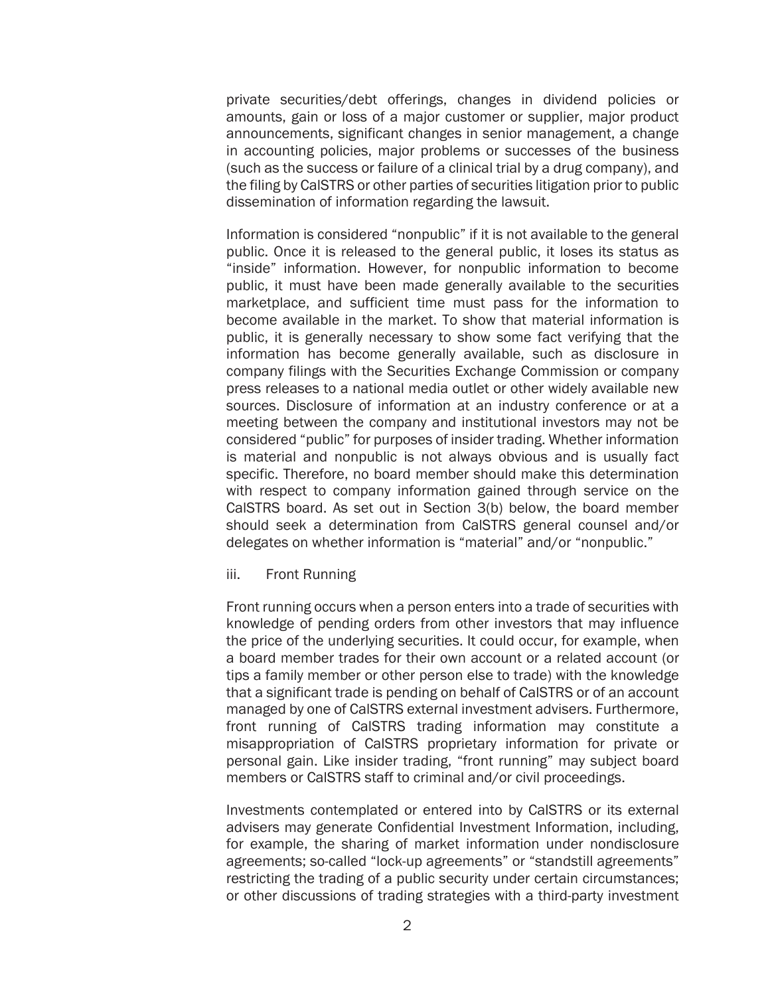private securities/debt offerings, changes in dividend policies or amounts, gain or loss of a major customer or supplier, major product announcements, significant changes in senior management, a change in accounting policies, major problems or successes of the business (such as the success or failure of a clinical trial by a drug company), and the filing by CalSTRS or other parties of securities litigation prior to public dissemination of information regarding the lawsuit.

Information is considered "nonpublic" if it is not available to the general public. Once it is released to the general public, it loses its status as "inside" information. However, for nonpublic information to become public, it must have been made generally available to the securities marketplace, and sufficient time must pass for the information to become available in the market. To show that material information is public, it is generally necessary to show some fact verifying that the information has become generally available, such as disclosure in company filings with the Securities Exchange Commission or company press releases to a national media outlet or other widely available new sources. Disclosure of information at an industry conference or at a meeting between the company and institutional investors may not be considered "public" for purposes of insider trading. Whether information is material and nonpublic is not always obvious and is usually fact specific. Therefore, no board member should make this determination with respect to company information gained through service on the CalSTRS board. As set out in Section 3(b) below, the board member should seek a determination from CalSTRS general counsel and/or delegates on whether information is "material" and/or "nonpublic."

#### iii. Front Running

Front running occurs when a person enters into a trade of securities with knowledge of pending orders from other investors that may influence the price of the underlying securities. It could occur, for example, when a board member trades for their own account or a related account (or tips a family member or other person else to trade) with the knowledge that a significant trade is pending on behalf of CalSTRS or of an account managed by one of CalSTRS external investment advisers. Furthermore, front running of CalSTRS trading information may constitute a misappropriation of CalSTRS proprietary information for private or personal gain. Like insider trading, "front running" may subject board members or CalSTRS staff to criminal and/or civil proceedings.

Investments contemplated or entered into by CalSTRS or its external advisers may generate Confidential Investment Information, including, for example, the sharing of market information under nondisclosure agreements; so-called "lock-up agreements" or "standstill agreements" restricting the trading of a public security under certain circumstances; or other discussions of trading strategies with a third-party investment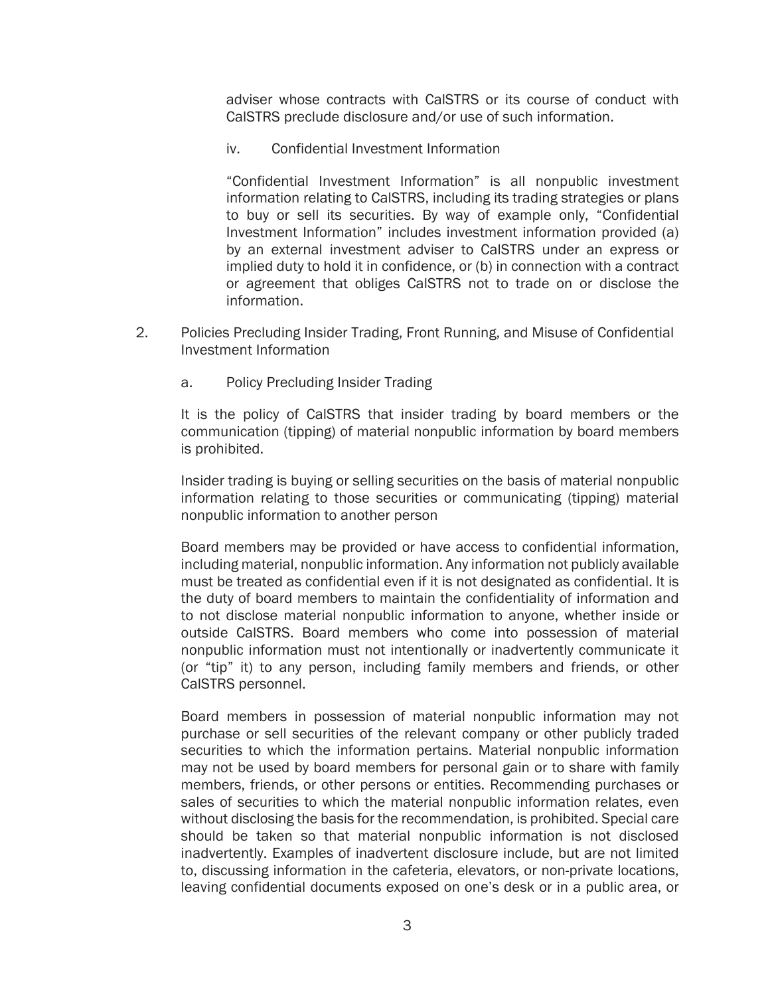adviser whose contracts with CalSTRS or its course of conduct with CalSTRS preclude disclosure and/or use of such information.

iv. Confidential Investment Information

"Confidential Investment Information" is all nonpublic investment information relating to CalSTRS, including its trading strategies or plans to buy or sell its securities. By way of example only, "Confidential Investment Information" includes investment information provided (a) by an external investment adviser to CalSTRS under an express or implied duty to hold it in confidence, or (b) in connection with a contract or agreement that obliges CalSTRS not to trade on or disclose the information.

- 2. Policies Precluding Insider Trading, Front Running, and Misuse of Confidential Investment Information
	- a. Policy Precluding Insider Trading

It is the policy of CalSTRS that insider trading by board members or the communication (tipping) of material nonpublic information by board members is prohibited.

Insider trading is buying or selling securities on the basis of material nonpublic information relating to those securities or communicating (tipping) material nonpublic information to another person

Board members may be provided or have access to confidential information, including material, nonpublic information. Any information not publicly available must be treated as confidential even if it is not designated as confidential. It is the duty of board members to maintain the confidentiality of information and to not disclose material nonpublic information to anyone, whether inside or outside CalSTRS. Board members who come into possession of material nonpublic information must not intentionally or inadvertently communicate it (or "tip" it) to any person, including family members and friends, or other CalSTRS personnel.

Board members in possession of material nonpublic information may not purchase or sell securities of the relevant company or other publicly traded securities to which the information pertains. Material nonpublic information may not be used by board members for personal gain or to share with family members, friends, or other persons or entities. Recommending purchases or sales of securities to which the material nonpublic information relates, even without disclosing the basis for the recommendation, is prohibited. Special care should be taken so that material nonpublic information is not disclosed inadvertently. Examples of inadvertent disclosure include, but are not limited to, discussing information in the cafeteria, elevators, or non-private locations, leaving confidential documents exposed on one's desk or in a public area, or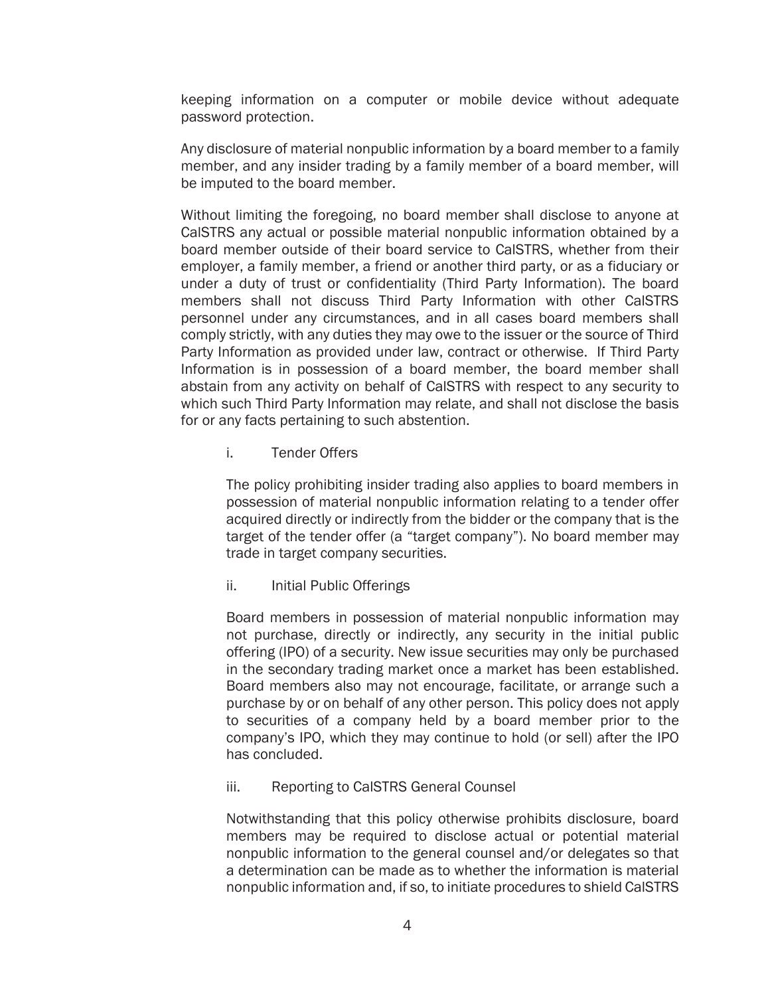keeping information on a computer or mobile device without adequate password protection.

Any disclosure of material nonpublic information by a board member to a family member, and any insider trading by a family member of a board member, will be imputed to the board member.

Without limiting the foregoing, no board member shall disclose to anyone at CalSTRS any actual or possible material nonpublic information obtained by a board member outside of their board service to CalSTRS, whether from their employer, a family member, a friend or another third party, or as a fiduciary or under a duty of trust or confidentiality (Third Party Information). The board members shall not discuss Third Party Information with other CalSTRS personnel under any circumstances, and in all cases board members shall comply strictly, with any duties they may owe to the issuer or the source of Third Party Information as provided under law, contract or otherwise. If Third Party Information is in possession of a board member, the board member shall abstain from any activity on behalf of CalSTRS with respect to any security to which such Third Party Information may relate, and shall not disclose the basis for or any facts pertaining to such abstention.

i. Tender Offers

The policy prohibiting insider trading also applies to board members in possession of material nonpublic information relating to a tender offer acquired directly or indirectly from the bidder or the company that is the target of the tender offer (a "target company"). No board member may trade in target company securities.

ii. Initial Public Offerings

Board members in possession of material nonpublic information may not purchase, directly or indirectly, any security in the initial public offering (IPO) of a security. New issue securities may only be purchased in the secondary trading market once a market has been established. Board members also may not encourage, facilitate, or arrange such a purchase by or on behalf of any other person. This policy does not apply to securities of a company held by a board member prior to the company's IPO, which they may continue to hold (or sell) after the IPO has concluded.

iii. Reporting to CalSTRS General Counsel

Notwithstanding that this policy otherwise prohibits disclosure, board members may be required to disclose actual or potential material nonpublic information to the general counsel and/or delegates so that a determination can be made as to whether the information is material nonpublic information and, if so, to initiate procedures to shield CalSTRS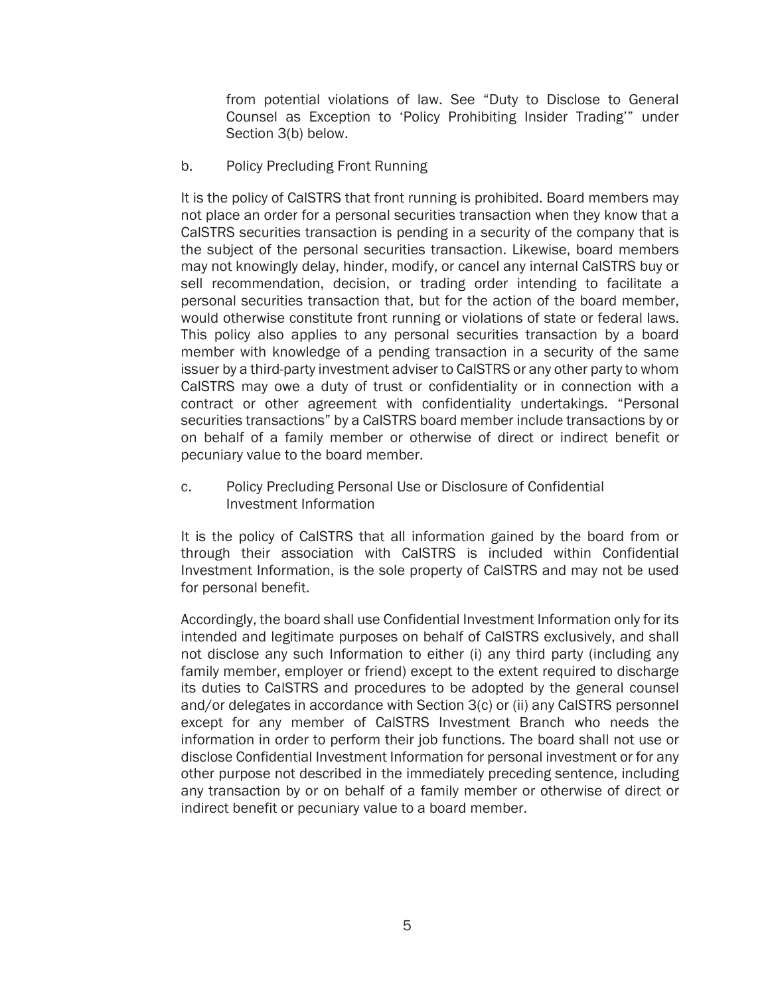from potential violations of law. See "Duty to Disclose to General Counsel as Exception to 'Policy Prohibiting Insider Trading'" under Section 3(b) below.

b. Policy Precluding Front Running

It is the policy of CalSTRS that front running is prohibited. Board members may not place an order for a personal securities transaction when they know that a CalSTRS securities transaction is pending in a security of the company that is the subject of the personal securities transaction. Likewise, board members may not knowingly delay, hinder, modify, or cancel any internal CalSTRS buy or sell recommendation, decision, or trading order intending to facilitate a personal securities transaction that, but for the action of the board member, would otherwise constitute front running or violations of state or federal laws. This policy also applies to any personal securities transaction by a board member with knowledge of a pending transaction in a security of the same issuer by a third-party investment adviser to CalSTRS or any other party to whom CalSTRS may owe a duty of trust or confidentiality or in connection with a contract or other agreement with confidentiality undertakings. "Personal securities transactions" by a CalSTRS board member include transactions by or on behalf of a family member or otherwise of direct or indirect benefit or pecuniary value to the board member.

c. Policy Precluding Personal Use or Disclosure of Confidential Investment Information

It is the policy of CalSTRS that all information gained by the board from or through their association with CalSTRS is included within Confidential Investment Information, is the sole property of CalSTRS and may not be used for personal benefit.

Accordingly, the board shall use Confidential Investment Information only for its intended and legitimate purposes on behalf of CalSTRS exclusively, and shall not disclose any such Information to either (i) any third party (including any family member, employer or friend) except to the extent required to discharge its duties to CalSTRS and procedures to be adopted by the general counsel and/or delegates in accordance with Section 3(c) or (ii) any CalSTRS personnel except for any member of CalSTRS Investment Branch who needs the information in order to perform their job functions. The board shall not use or disclose Confidential Investment Information for personal investment or for any other purpose not described in the immediately preceding sentence, including any transaction by or on behalf of a family member or otherwise of direct or indirect benefit or pecuniary value to a board member.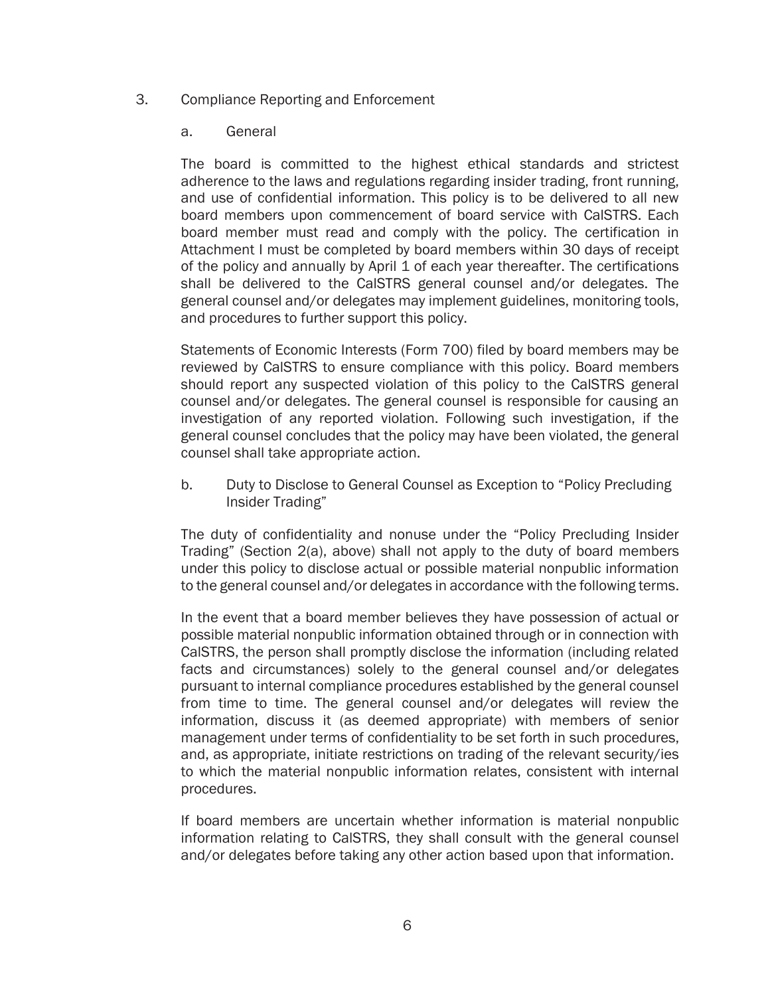#### 3. Compliance Reporting and Enforcement

#### a. General

The board is committed to the highest ethical standards and strictest adherence to the laws and regulations regarding insider trading, front running, and use of confidential information. This policy is to be delivered to all new board members upon commencement of board service with CalSTRS. Each board member must read and comply with the policy. The certification in Attachment I must be completed by board members within 30 days of receipt of the policy and annually by April 1 of each year thereafter. The certifications shall be delivered to the CalSTRS general counsel and/or delegates. The general counsel and/or delegates may implement guidelines, monitoring tools, and procedures to further support this policy.

Statements of Economic Interests (Form 700) filed by board members may be reviewed by CalSTRS to ensure compliance with this policy. Board members should report any suspected violation of this policy to the CalSTRS general counsel and/or delegates. The general counsel is responsible for causing an investigation of any reported violation. Following such investigation, if the general counsel concludes that the policy may have been violated, the general counsel shall take appropriate action.

b. Duty to Disclose to General Counsel as Exception to "Policy Precluding Insider Trading"

The duty of confidentiality and nonuse under the "Policy Precluding Insider Trading" (Section 2(a), above) shall not apply to the duty of board members under this policy to disclose actual or possible material nonpublic information to the general counsel and/or delegates in accordance with the following terms.

In the event that a board member believes they have possession of actual or possible material nonpublic information obtained through or in connection with CalSTRS, the person shall promptly disclose the information (including related facts and circumstances) solely to the general counsel and/or delegates pursuant to internal compliance procedures established by the general counsel from time to time. The general counsel and/or delegates will review the information, discuss it (as deemed appropriate) with members of senior management under terms of confidentiality to be set forth in such procedures, and, as appropriate, initiate restrictions on trading of the relevant security/ies to which the material nonpublic information relates, consistent with internal procedures.

If board members are uncertain whether information is material nonpublic information relating to CalSTRS, they shall consult with the general counsel and/or delegates before taking any other action based upon that information.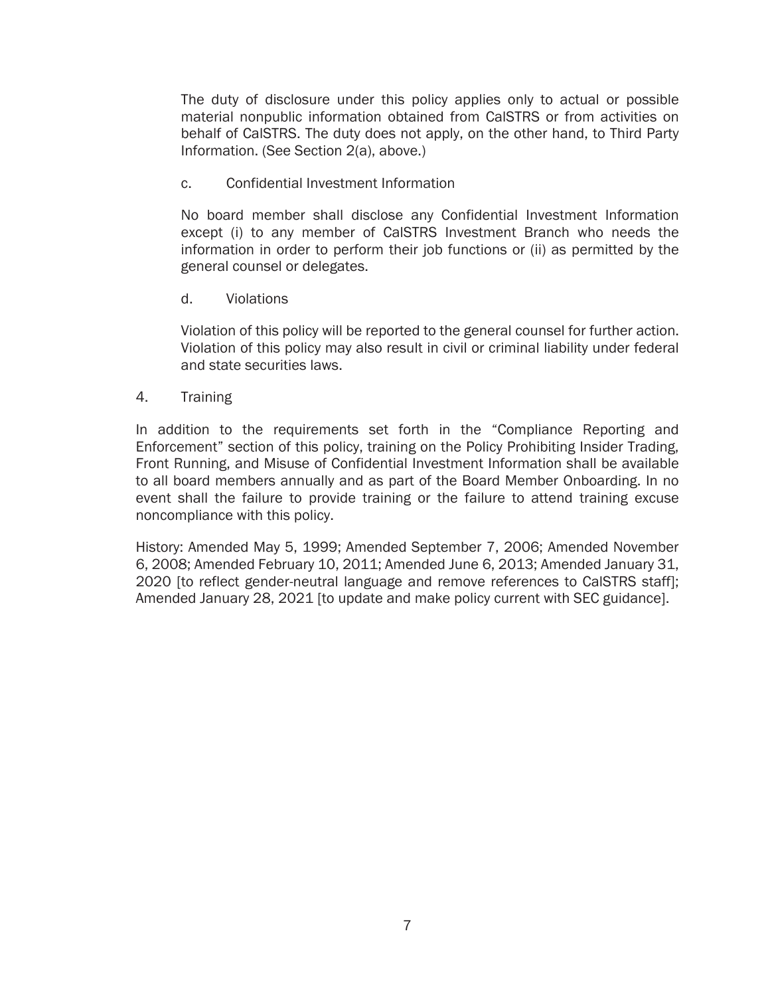The duty of disclosure under this policy applies only to actual or possible material nonpublic information obtained from CalSTRS or from activities on behalf of CalSTRS. The duty does not apply, on the other hand, to Third Party Information. (See Section 2(a), above.)

c. Confidential Investment Information

No board member shall disclose any Confidential Investment Information except (i) to any member of CalSTRS Investment Branch who needs the information in order to perform their job functions or (ii) as permitted by the general counsel or delegates.

d. Violations

Violation of this policy will be reported to the general counsel for further action. Violation of this policy may also result in civil or criminal liability under federal and state securities laws.

4. Training

In addition to the requirements set forth in the "Compliance Reporting and Enforcement" section of this policy, training on the Policy Prohibiting Insider Trading, Front Running, and Misuse of Confidential Investment Information shall be available to all board members annually and as part of the Board Member Onboarding. In no event shall the failure to provide training or the failure to attend training excuse noncompliance with this policy.

History: Amended May 5, 1999; Amended September 7, 2006; Amended November 6, 2008; Amended February 10, 2011; Amended June 6, 2013; Amended January 31, 2020 [to reflect gender-neutral language and remove references to CalSTRS staff]; Amended January 28, 2021 [to update and make policy current with SEC guidance].